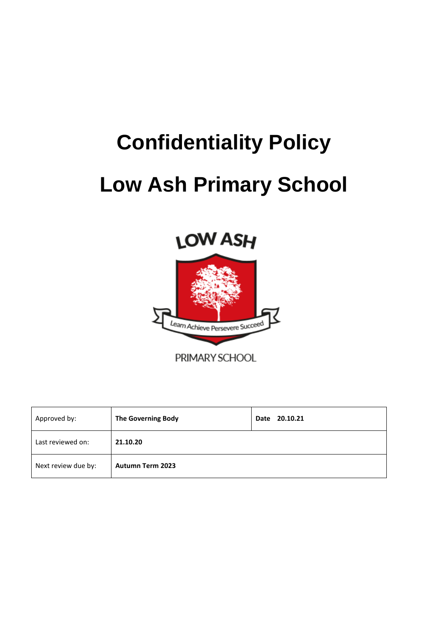# **Confidentiality Policy Low Ash Primary School**





PRIMARY SCHOOL

| Approved by:        | <b>The Governing Body</b> | Date 20.10.21 |
|---------------------|---------------------------|---------------|
| Last reviewed on:   | 21.10.20                  |               |
| Next review due by: | <b>Autumn Term 2023</b>   |               |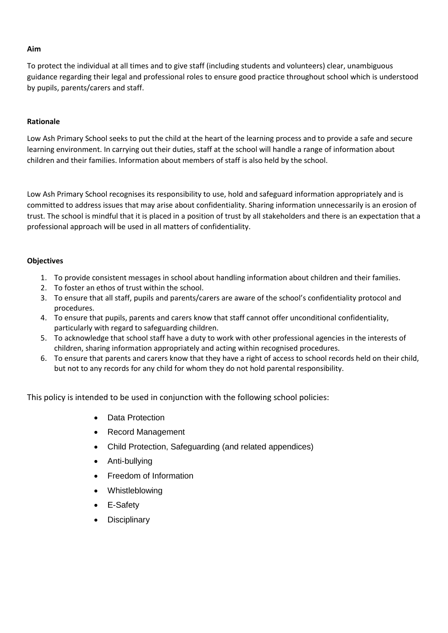#### **Aim**

To protect the individual at all times and to give staff (including students and volunteers) clear, unambiguous guidance regarding their legal and professional roles to ensure good practice throughout school which is understood by pupils, parents/carers and staff.

### **Rationale**

Low Ash Primary School seeks to put the child at the heart of the learning process and to provide a safe and secure learning environment. In carrying out their duties, staff at the school will handle a range of information about children and their families. Information about members of staff is also held by the school.

Low Ash Primary School recognises its responsibility to use, hold and safeguard information appropriately and is committed to address issues that may arise about confidentiality. Sharing information unnecessarily is an erosion of trust. The school is mindful that it is placed in a position of trust by all stakeholders and there is an expectation that a professional approach will be used in all matters of confidentiality.

#### **Objectives**

- 1. To provide consistent messages in school about handling information about children and their families.
- 2. To foster an ethos of trust within the school.
- 3. To ensure that all staff, pupils and parents/carers are aware of the school's confidentiality protocol and procedures.
- 4. To ensure that pupils, parents and carers know that staff cannot offer unconditional confidentiality, particularly with regard to safeguarding children.
- 5. To acknowledge that school staff have a duty to work with other professional agencies in the interests of children, sharing information appropriately and acting within recognised procedures.
- 6. To ensure that parents and carers know that they have a right of access to school records held on their child, but not to any records for any child for whom they do not hold parental responsibility.

This policy is intended to be used in conjunction with the following school policies:

- Data Protection
- Record Management
- Child Protection, Safeguarding (and related appendices)
- Anti-bullying
- Freedom of Information
- **Whistleblowing**
- E-Safety
- **Disciplinary**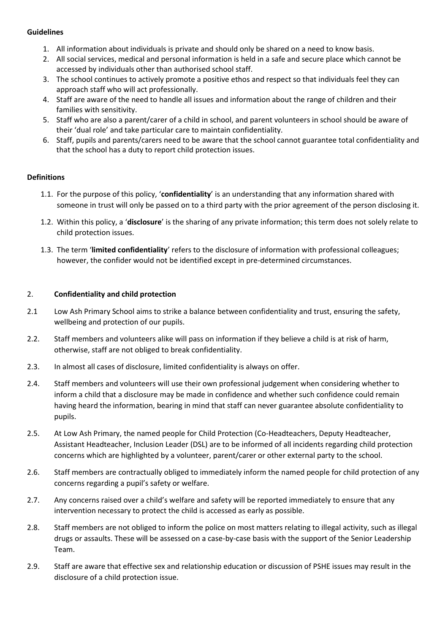#### **Guidelines**

- 1. All information about individuals is private and should only be shared on a need to know basis.
- 2. All social services, medical and personal information is held in a safe and secure place which cannot be accessed by individuals other than authorised school staff.
- 3. The school continues to actively promote a positive ethos and respect so that individuals feel they can approach staff who will act professionally.
- 4. Staff are aware of the need to handle all issues and information about the range of children and their families with sensitivity.
- 5. Staff who are also a parent/carer of a child in school, and parent volunteers in school should be aware of their 'dual role' and take particular care to maintain confidentiality.
- 6. Staff, pupils and parents/carers need to be aware that the school cannot guarantee total confidentiality and that the school has a duty to report child protection issues.

## **Definitions**

- 1.1. For the purpose of this policy, '**confidentiality**' is an understanding that any information shared with someone in trust will only be passed on to a third party with the prior agreement of the person disclosing it.
- 1.2. Within this policy, a '**disclosure**' is the sharing of any private information; this term does not solely relate to child protection issues.
- 1.3. The term '**limited confidentiality**' refers to the disclosure of information with professional colleagues; however, the confider would not be identified except in pre-determined circumstances.

# 2. **Confidentiality and child protection**

- 2.1 Low Ash Primary School aims to strike a balance between confidentiality and trust, ensuring the safety, wellbeing and protection of our pupils.
- 2.2. Staff members and volunteers alike will pass on information if they believe a child is at risk of harm, otherwise, staff are not obliged to break confidentiality.
- 2.3. In almost all cases of disclosure, limited confidentiality is always on offer.
- 2.4. Staff members and volunteers will use their own professional judgement when considering whether to inform a child that a disclosure may be made in confidence and whether such confidence could remain having heard the information, bearing in mind that staff can never guarantee absolute confidentiality to pupils.
- 2.5. At Low Ash Primary, the named people for Child Protection (Co-Headteachers, Deputy Headteacher, Assistant Headteacher, Inclusion Leader (DSL) are to be informed of all incidents regarding child protection concerns which are highlighted by a volunteer, parent/carer or other external party to the school.
- 2.6. Staff members are contractually obliged to immediately inform the named people for child protection of any concerns regarding a pupil's safety or welfare.
- 2.7. Any concerns raised over a child's welfare and safety will be reported immediately to ensure that any intervention necessary to protect the child is accessed as early as possible.
- 2.8. Staff members are not obliged to inform the police on most matters relating to illegal activity, such as illegal drugs or assaults. These will be assessed on a case-by-case basis with the support of the Senior Leadership Team.
- 2.9. Staff are aware that effective sex and relationship education or discussion of PSHE issues may result in the disclosure of a child protection issue.